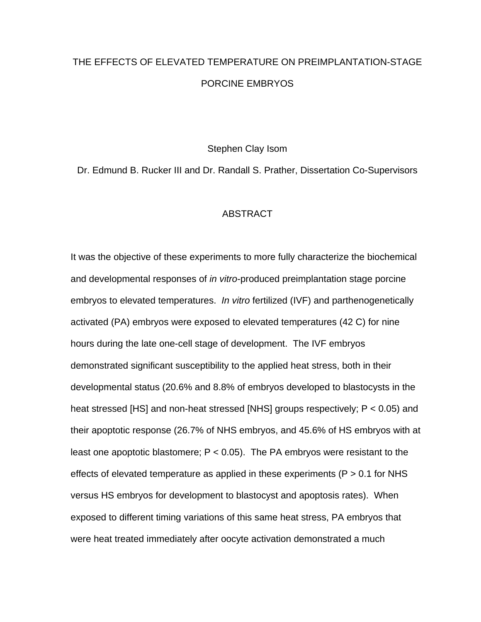## THE EFFECTS OF ELEVATED TEMPERATURE ON PREIMPLANTATION-STAGE PORCINE EMBRYOS

Stephen Clay Isom

Dr. Edmund B. Rucker III and Dr. Randall S. Prather, Dissertation Co-Supervisors

## **ABSTRACT**

It was the objective of these experiments to more fully characterize the biochemical and developmental responses of *in vitro*-produced preimplantation stage porcine embryos to elevated temperatures. *In vitro* fertilized (IVF) and parthenogenetically activated (PA) embryos were exposed to elevated temperatures (42 C) for nine hours during the late one-cell stage of development. The IVF embryos demonstrated significant susceptibility to the applied heat stress, both in their developmental status (20.6% and 8.8% of embryos developed to blastocysts in the heat stressed [HS] and non-heat stressed [NHS] groups respectively; P < 0.05) and their apoptotic response (26.7% of NHS embryos, and 45.6% of HS embryos with at least one apoptotic blastomere;  $P < 0.05$ ). The PA embryos were resistant to the effects of elevated temperature as applied in these experiments ( $P > 0.1$  for NHS versus HS embryos for development to blastocyst and apoptosis rates). When exposed to different timing variations of this same heat stress, PA embryos that were heat treated immediately after oocyte activation demonstrated a much